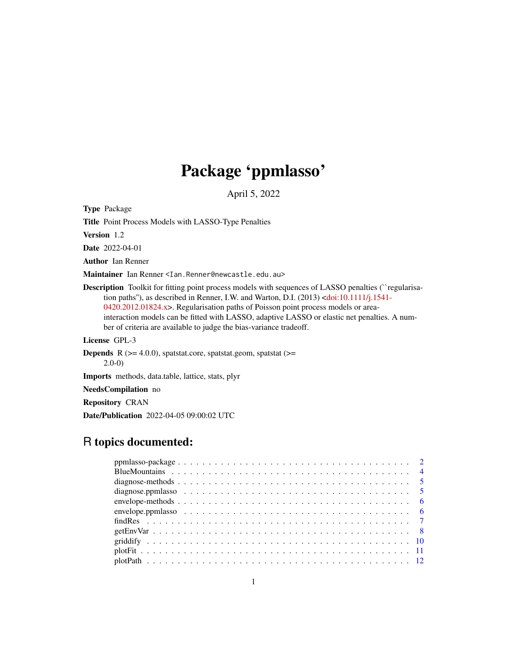# Package 'ppmlasso'

April 5, 2022

<span id="page-0-0"></span>Type Package

Title Point Process Models with LASSO-Type Penalties

Version 1.2

Date 2022-04-01

Author Ian Renner

Maintainer Ian Renner <Ian.Renner@newcastle.edu.au>

Description Toolkit for fitting point process models with sequences of LASSO penalties ("regularisation paths''), as described in Renner, I.W. and Warton, D.I. (2013) [<doi:10.1111/j.1541-](https://doi.org/10.1111/j.1541-0420.2012.01824.x) [0420.2012.01824.x>](https://doi.org/10.1111/j.1541-0420.2012.01824.x). Regularisation paths of Poisson point process models or areainteraction models can be fitted with LASSO, adaptive LASSO or elastic net penalties. A number of criteria are available to judge the bias-variance tradeoff.

License GPL-3

**Depends** R  $(>= 4.0.0)$ , spatstat.core, spatstat.geom, spatstat  $(>=$ 2.0-0)

Imports methods, data.table, lattice, stats, plyr

NeedsCompilation no

Repository CRAN

Date/Publication 2022-04-05 09:00:02 UTC

# R topics documented: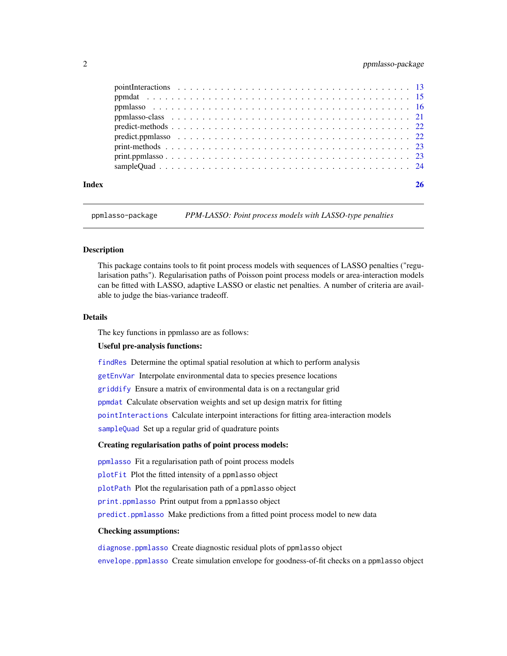# <span id="page-1-0"></span>2 ppmlasso-package

| Index |  |
|-------|--|

ppmlasso-package *PPM-LASSO: Point process models with LASSO-type penalties*

# **Description**

This package contains tools to fit point process models with sequences of LASSO penalties ("regularisation paths"). Regularisation paths of Poisson point process models or area-interaction models can be fitted with LASSO, adaptive LASSO or elastic net penalties. A number of criteria are available to judge the bias-variance tradeoff.

#### Details

The key functions in ppmlasso are as follows:

# Useful pre-analysis functions:

[findRes](#page-6-1) Determine the optimal spatial resolution at which to perform analysis

[getEnvVar](#page-7-1) Interpolate environmental data to species presence locations

[griddify](#page-9-1) Ensure a matrix of environmental data is on a rectangular grid

[ppmdat](#page-14-1) Calculate observation weights and set up design matrix for fitting

[pointInteractions](#page-12-1) Calculate interpoint interactions for fitting area-interaction models

[sampleQuad](#page-23-1) Set up a regular grid of quadrature points

#### Creating regularisation paths of point process models:

[ppmlasso](#page-15-1) Fit a regularisation path of point process models

[plotFit](#page-10-1) Plot the fitted intensity of a ppmlasso object

[plotPath](#page-11-1) Plot the regularisation path of a ppmlasso object

[print.ppmlasso](#page-22-1) Print output from a ppmlasso object

[predict.ppmlasso](#page-21-1) Make predictions from a fitted point process model to new data

#### Checking assumptions:

[diagnose.ppmlasso](#page-4-1) Create diagnostic residual plots of ppmlasso object [envelope.ppmlasso](#page-5-1) Create simulation envelope for goodness-of-fit checks on a ppmlasso object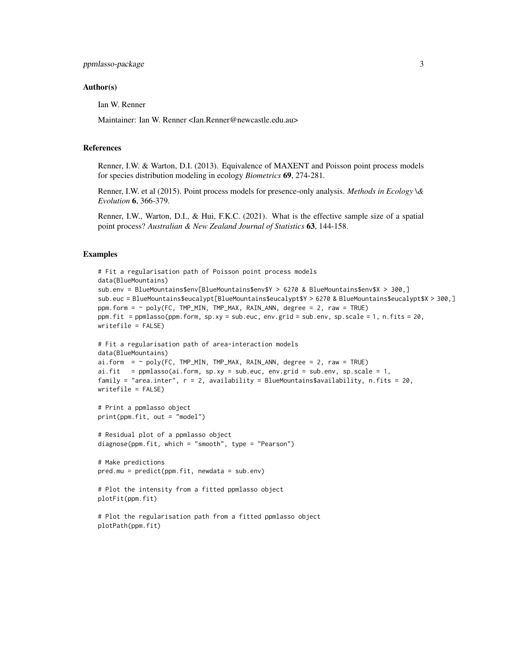#### Author(s)

Ian W. Renner

Maintainer: Ian W. Renner <Ian.Renner@newcastle.edu.au>

#### References

Renner, I.W. & Warton, D.I. (2013). Equivalence of MAXENT and Poisson point process models for species distribution modeling in ecology *Biometrics* 69, 274-281.

Renner, I.W. et al (2015). Point process models for presence-only analysis. *Methods in Ecology \& Evolution* 6, 366-379.

Renner, I.W., Warton, D.I., & Hui, F.K.C. (2021). What is the effective sample size of a spatial point process? *Australian & New Zealand Journal of Statistics* 63, 144-158.

# Examples

```
# Fit a regularisation path of Poisson point process models
data(BlueMountains)
sub.env = BlueMountains$env[BlueMountains$env$Y > 6270 & BlueMountains$env$X > 300,]
sub.euc = BlueMountains$eucalypt[BlueMountains$eucalypt$Y > 6270 & BlueMountains$eucalypt$X > 300,]
ppm.form = \sim poly(FC, TMP_MIN, TMP_MAX, RAIN_ANN, degree = 2, raw = TRUE)
ppm.fit = ppmlasso(ppm.form, sp.xy = sub.euc, env.grid = sub.env, sp.scale = 1, n.fits = 20,
writefile = FALSE)
# Fit a regularisation path of area-interaction models
data(BlueMountains)
ai.form = \sim poly(FC, TMP_MIN, TMP_MAX, RAIN_ANN, degree = 2, raw = TRUE)
ai.fit = ppmlasso(ai.form, sp.xy = sub.euc, env.grid = sub.env, sp.scale = 1,
family = "area.inter", r = 2, availability = BlueMountains$availability, n.fits = 20,
writefile = FALSE)
# Print a ppmlasso object
print(ppm.fit, out = "model")
# Residual plot of a ppmlasso object
diagnose(ppm.fit, which = "smooth", type = "Pearson")
# Make predictions
pred.mu = predict(ppm.fit, newdata = sub.env)
# Plot the intensity from a fitted ppmlasso object
plotFit(ppm.fit)
# Plot the regularisation path from a fitted ppmlasso object
plotPath(ppm.fit)
```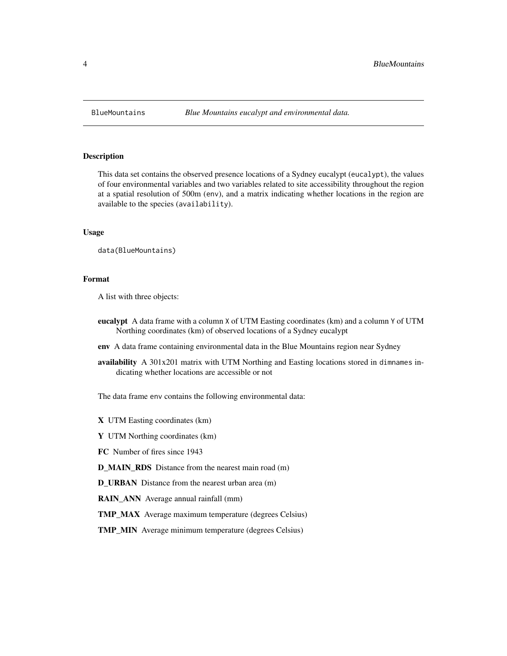<span id="page-3-0"></span>

#### Description

This data set contains the observed presence locations of a Sydney eucalypt (eucalypt), the values of four environmental variables and two variables related to site accessibility throughout the region at a spatial resolution of 500m (env), and a matrix indicating whether locations in the region are available to the species (availability).

# Usage

data(BlueMountains)

# Format

A list with three objects:

- eucalypt A data frame with a column X of UTM Easting coordinates (km) and a column Y of UTM Northing coordinates (km) of observed locations of a Sydney eucalypt
- env A data frame containing environmental data in the Blue Mountains region near Sydney
- availability A 301x201 matrix with UTM Northing and Easting locations stored in dimnames indicating whether locations are accessible or not

The data frame env contains the following environmental data:

X UTM Easting coordinates (km)

Y UTM Northing coordinates (km)

FC Number of fires since 1943

D\_MAIN\_RDS Distance from the nearest main road (m)

D\_URBAN Distance from the nearest urban area (m)

RAIN\_ANN Average annual rainfall (mm)

TMP\_MAX Average maximum temperature (degrees Celsius)

TMP\_MIN Average minimum temperature (degrees Celsius)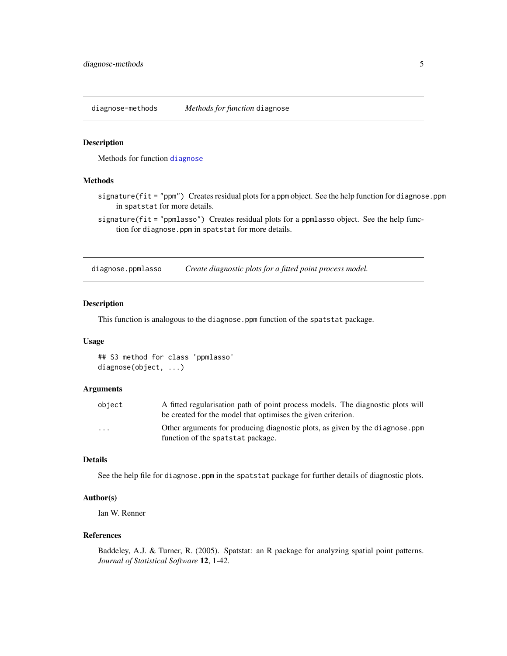<span id="page-4-0"></span>diagnose-methods *Methods for function* diagnose

#### Description

Methods for function [diagnose](#page-4-2)

# Methods

signature(fit = "ppm") Creates residual plots for a ppm object. See the help function for diagnose.ppm in spatstat for more details.

signature(fit = "ppmlasso") Creates residual plots for a ppmlasso object. See the help function for diagnose.ppm in spatstat for more details.

<span id="page-4-1"></span>diagnose.ppmlasso *Create diagnostic plots for a fitted point process model.*

#### <span id="page-4-2"></span>Description

This function is analogous to the diagnose.ppm function of the spatstat package.

# Usage

## S3 method for class 'ppmlasso' diagnose(object, ...)

#### Arguments

| object   | A fitted regularisation path of point process models. The diagnostic plots will |
|----------|---------------------------------------------------------------------------------|
|          | be created for the model that optimises the given criterion.                    |
| $\cdots$ | Other arguments for producing diagnostic plots, as given by the diagnose, ppm   |
|          | function of the spatstat package.                                               |

# Details

See the help file for diagnose.ppm in the spatstat package for further details of diagnostic plots.

# Author(s)

Ian W. Renner

#### References

Baddeley, A.J. & Turner, R. (2005). Spatstat: an R package for analyzing spatial point patterns. *Journal of Statistical Software* 12, 1-42.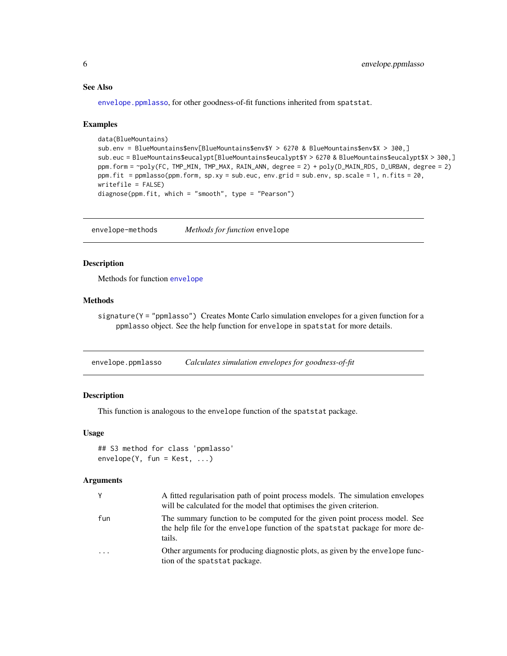# <span id="page-5-0"></span>See Also

[envelope.ppmlasso](#page-5-1), for other goodness-of-fit functions inherited from spatstat.

#### Examples

```
data(BlueMountains)
sub.env = BlueMountains$env[BlueMountains$env$Y > 6270 & BlueMountains$env$X > 300,]
sub.euc = BlueMountains$eucalypt[BlueMountains$eucalypt$Y > 6270 & BlueMountains$eucalypt$X > 300,]
ppm.form = ~poly(FC, TMP_MIN, TMP_MAX, RAIN_ANN, degree = 2) + poly(D_MAIN_RDS, D_URBAN, degree = 2)
ppm.fit = ppmlasso(ppm.form, sp.xy = sub.euc, env.grid = sub.env, sp.scale = 1, n.fits = 20,
writefile = FALSE)
diagnose(ppm.fit, which = "smooth", type = "Pearson")
```
envelope-methods *Methods for function* envelope

#### Description

Methods for function [envelope](#page-0-0)

# Methods

signature(Y = "ppmlasso") Creates Monte Carlo simulation envelopes for a given function for a ppmlasso object. See the help function for envelope in spatstat for more details.

<span id="page-5-1"></span>envelope.ppmlasso *Calculates simulation envelopes for goodness-of-fit*

# Description

This function is analogous to the envelope function of the spatstat package.

#### Usage

```
## S3 method for class 'ppmlasso'
envelope(Y, fun = Kest, ...)
```

|     | A fitted regularisation path of point process models. The simulation envelopes<br>will be calculated for the model that optimises the given criterion.               |
|-----|----------------------------------------------------------------------------------------------------------------------------------------------------------------------|
| fun | The summary function to be computed for the given point process model. See<br>the help file for the envelope function of the spatstat package for more de-<br>tails. |
| .   | Other arguments for producing diagnostic plots, as given by the envelope func-<br>tion of the spatstat package.                                                      |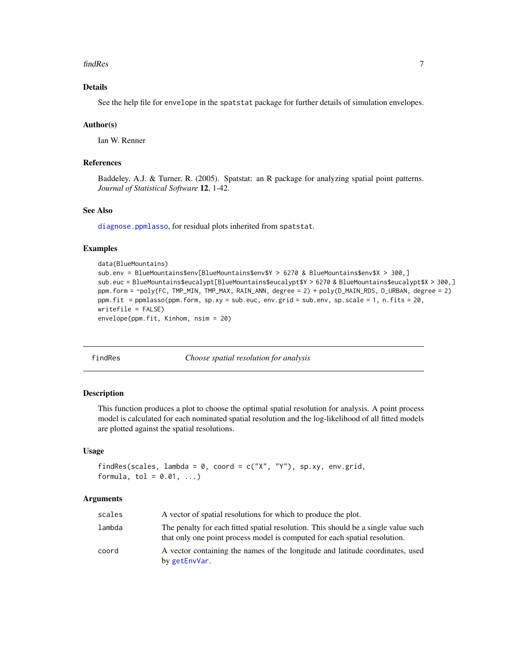#### <span id="page-6-0"></span>findRes 7

# Details

See the help file for envelope in the spatstat package for further details of simulation envelopes.

#### Author(s)

Ian W. Renner

# References

Baddeley, A.J. & Turner, R. (2005). Spatstat: an R package for analyzing spatial point patterns. *Journal of Statistical Software* 12, 1-42.

# See Also

[diagnose.ppmlasso](#page-4-1), for residual plots inherited from spatstat.

#### Examples

```
data(BlueMountains)
sub.env = BlueMountains$env[BlueMountains$env$Y > 6270 & BlueMountains$env$X > 300,]
sub.euc = BlueMountains$eucalypt[BlueMountains$eucalypt$Y > 6270 & BlueMountains$eucalypt$X > 300,]
ppm.form = ~poly(FC, TMP_MIN, TMP_MAX, RAIN_ANN, degree = 2) + poly(D_MAIN_RDS, D_URBAN, degree = 2)
ppm.fit = ppmlasso(ppm.form, sp.xy = sub.euc, env.grid = sub.env, sp.scale = 1, n.fits = 20,
writefile = FALSE)
envelope(ppm.fit, Kinhom, nsim = 20)
```
#### <span id="page-6-1"></span>findRes *Choose spatial resolution for analysis*

#### **Description**

This function produces a plot to choose the optimal spatial resolution for analysis. A point process model is calculated for each nominated spatial resolution and the log-likelihood of all fitted models are plotted against the spatial resolutions.

#### Usage

```
findRes(scales, lambda = 0, coord = c("X", "Y"), sp.xy, env.grid,formula, tol = 0.01, ...
```

| scales | A vector of spatial resolutions for which to produce the plot.                                                                                                   |
|--------|------------------------------------------------------------------------------------------------------------------------------------------------------------------|
| lambda | The penalty for each fitted spatial resolution. This should be a single value such<br>that only one point process model is computed for each spatial resolution. |
| coord  | A vector containing the names of the longitude and latitude coordinates, used<br>by getEnvVar.                                                                   |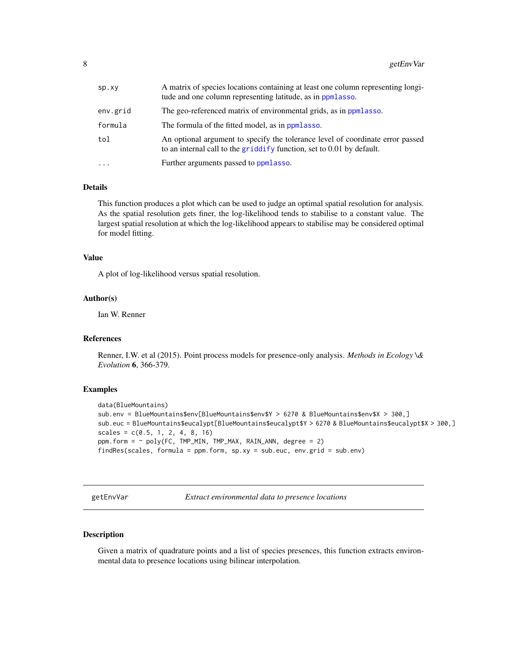<span id="page-7-0"></span>

| Sp.xy    | A matrix of species locations containing at least one column representing longi-<br>tude and one column representing latitude, as in ppmlasso.          |
|----------|---------------------------------------------------------------------------------------------------------------------------------------------------------|
| env.grid | The geo-referenced matrix of environmental grids, as in ppmlasso.                                                                                       |
| formula  | The formula of the fitted model, as in ppmlasso.                                                                                                        |
| tol      | An optional argument to specify the tolerance level of coordinate error passed<br>to an internal call to the griddify function, set to 0.01 by default. |
| $\cdots$ | Further arguments passed to ppmlasso.                                                                                                                   |

# Details

This function produces a plot which can be used to judge an optimal spatial resolution for analysis. As the spatial resolution gets finer, the log-likelihood tends to stabilise to a constant value. The largest spatial resolution at which the log-likelihood appears to stabilise may be considered optimal for model fitting.

#### Value

A plot of log-likelihood versus spatial resolution.

# Author(s)

Ian W. Renner

#### References

Renner, I.W. et al (2015). Point process models for presence-only analysis. *Methods in Ecology \& Evolution* 6, 366-379.

#### Examples

```
data(BlueMountains)
sub.env = BlueMountains$env[BlueMountains$env$Y > 6270 & BlueMountains$env$X > 300,]
sub.euc = BlueMountains$eucalypt[BlueMountains$eucalypt$Y > 6270 & BlueMountains$eucalypt$X > 300,]
scales = c(0.5, 1, 2, 4, 8, 16)ppm.form = ~ poly(FC, TMP_MIN, TMP_MAX, RAIN_ANN, degree = 2)findRes(scales, formula = ppm.form, sp.xy = sub.euc, env.grid = sub.env)
```
<span id="page-7-1"></span>getEnvVar *Extract environmental data to presence locations*

#### Description

Given a matrix of quadrature points and a list of species presences, this function extracts environmental data to presence locations using bilinear interpolation.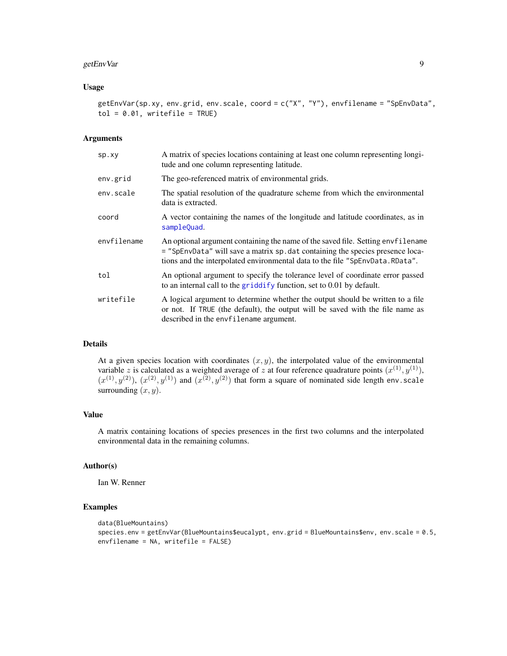# <span id="page-8-0"></span>getEnvVar 9

#### Usage

getEnvVar(sp.xy, env.grid, env.scale, coord = c("X", "Y"), envfilename = "SpEnvData",  $tol = 0.01$ , writefile = TRUE)

# Arguments

| sp.xy       | A matrix of species locations containing at least one column representing longi-<br>tude and one column representing latitude.                                                                                                                       |
|-------------|------------------------------------------------------------------------------------------------------------------------------------------------------------------------------------------------------------------------------------------------------|
| env.grid    | The geo-referenced matrix of environmental grids.                                                                                                                                                                                                    |
| env.scale   | The spatial resolution of the quadrature scheme from which the environmental<br>data is extracted.                                                                                                                                                   |
| coord       | A vector containing the names of the longitude and latitude coordinates, as in<br>sampleQuad.                                                                                                                                                        |
| envfilename | An optional argument containing the name of the saved file. Setting envertilename<br>= "SpEnvData" will save a matrix sp. dat containing the species presence loca-<br>tions and the interpolated environmental data to the file "SpEnvData. RData". |
| tol         | An optional argument to specify the tolerance level of coordinate error passed<br>to an internal call to the griddify function, set to 0.01 by default.                                                                                              |
| writefile   | A logical argument to determine whether the output should be written to a file<br>or not. If TRUE (the default), the output will be saved with the file name as<br>described in the envfilename argument.                                            |

# Details

At a given species location with coordinates  $(x, y)$ , the interpolated value of the environmental variable z is calculated as a weighted average of z at four reference quadrature points  $(x^{(1)}, y^{(1)})$ ,  $(x^{(1)}, y^{(2)})$ ,  $(x^{(2)}, y^{(1)})$  and  $(x^{(2)}, y^{(2)})$  that form a square of nominated side length env.scale surrounding  $(x, y)$ .

# Value

A matrix containing locations of species presences in the first two columns and the interpolated environmental data in the remaining columns.

#### Author(s)

Ian W. Renner

# Examples

```
data(BlueMountains)
species.env = getEnvVar(BlueMountains$eucalypt, env.grid = BlueMountains$env, env.scale = 0.5,
envfilename = NA, writefile = FALSE)
```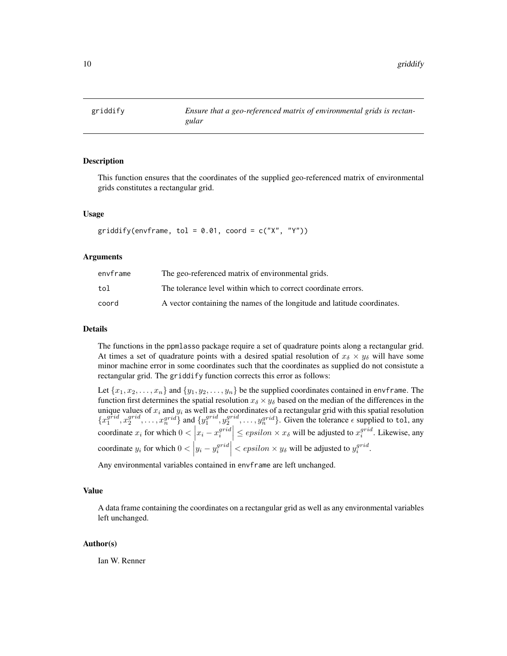<span id="page-9-1"></span><span id="page-9-0"></span>

# Description

This function ensures that the coordinates of the supplied geo-referenced matrix of environmental grids constitutes a rectangular grid.

#### Usage

```
griddify(envframe, tol = 0.01, coord = c("X", "Y"))
```
#### Arguments

| envframe | The geo-referenced matrix of environmental grids.                        |
|----------|--------------------------------------------------------------------------|
| tol      | The tolerance level within which to correct coordinate errors.           |
| coord    | A vector containing the names of the longitude and latitude coordinates. |

# Details

The functions in the ppmlasso package require a set of quadrature points along a rectangular grid. At times a set of quadrature points with a desired spatial resolution of  $x_{\delta} \times y_{\delta}$  will have some minor machine error in some coordinates such that the coordinates as supplied do not consistute a rectangular grid. The griddify function corrects this error as follows:

Let  $\{x_1, x_2, \ldots, x_n\}$  and  $\{y_1, y_2, \ldots, y_n\}$  be the supplied coordinates contained in envframe. The function first determines the spatial resolution  $x_{\delta} \times y_{\delta}$  based on the median of the differences in the unique values of  $x_i$  and  $y_i$  as well as the coordinates of a rectangular grid with this spatial resolution  ${x_1^{grid}, x_2^{grid}, \ldots, x_n^{grid}}$  and  ${y_1^{grid}, y_2^{grid}, \ldots, y_n^{grid}}$ . Given the tolerance  $\epsilon$  supplied to tol, any coordinate  $x_i$  for which  $0 < \left| x_i - x_i^{grid} \right| \leq epsilon \times x_\delta$  will be adjusted to  $x_i^{grid}$ . Likewise, any coordinate  $y_i$  for which  $0 < |y_i - y_i^{grid}| < epsilon \times y_\delta$  will be adjusted to  $y_i^{grid}$ .

Any environmental variables contained in envframe are left unchanged.

#### Value

A data frame containing the coordinates on a rectangular grid as well as any environmental variables left unchanged.

#### Author(s)

Ian W. Renner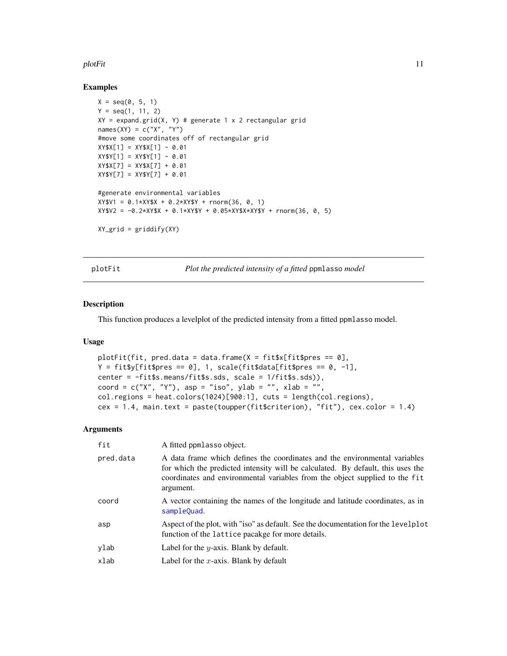#### <span id="page-10-0"></span>plotFit the contract of the contract of the contract of the contract of the contract of the contract of the contract of the contract of the contract of the contract of the contract of the contract of the contract of the co

# Examples

```
X = seq(0, 5, 1)Y = \text{seq}(1, 11, 2)XY = expand.grid(X, Y) # generate 1 x 2 rectangular gridnames(XY) = c("X", "Y")#move some coordinates off of rectangular grid
XY$X[1] = XY$X[1] - 0.01XY$Y[1] = XY$Y[1] - 0.01XY$X[7] = XY$X[7] + 0.01
XY$Y[7] = XY$Y[7] + 0.01
#generate environmental variables
XY$V1 = 0.1*XY$X + 0.2*XY$Y + rnorm(36, 0, 1)XY$V2 = -0.2*XY$X + 0.1*XY$Y + 0.05*XY$X*XY$Y + rnorm(36, 0, 5)
XYgrid = griddify(XY)
```
<span id="page-10-1"></span>plotFit *Plot the predicted intensity of a fitted* ppmlasso *model*

#### Description

This function produces a levelplot of the predicted intensity from a fitted ppmlasso model.

# Usage

```
plotFit(fit, pred.data = data.frame(X = \text{fit}$x[fit$pres == 0],
Y = \text{fit$y[fit$pres == 0], 1, scale(fit$data[fit$pres == 0, -1],center = -fit$s.means/fit$s.sds, scale = 1/fit$s.sds)),
coord = c("X", "Y"), asp = "iso", ylab = "", xlab = "",
col.regions = heat.colors(1024)[900:1], cuts = length(col.regions),
cex = 1.4, main.text = paste(toupper(fit$criterion), "fit"), cex.color = 1.4)
```

| fit       | A fitted ppmlasso object.                                                                                                                                                                                                                                 |
|-----------|-----------------------------------------------------------------------------------------------------------------------------------------------------------------------------------------------------------------------------------------------------------|
| pred.data | A data frame which defines the coordinates and the environmental variables<br>for which the predicted intensity will be calculated. By default, this uses the<br>coordinates and environmental variables from the object supplied to the fit<br>argument. |
| coord     | A vector containing the names of the longitude and latitude coordinates, as in<br>sampleQuad.                                                                                                                                                             |
| asp       | Aspect of the plot, with "iso" as default. See the documentation for the levelplot<br>function of the lattice pacakge for more details.                                                                                                                   |
| ylab      | Label for the $y$ -axis. Blank by default.                                                                                                                                                                                                                |
| xlab      | Label for the x-axis. Blank by default                                                                                                                                                                                                                    |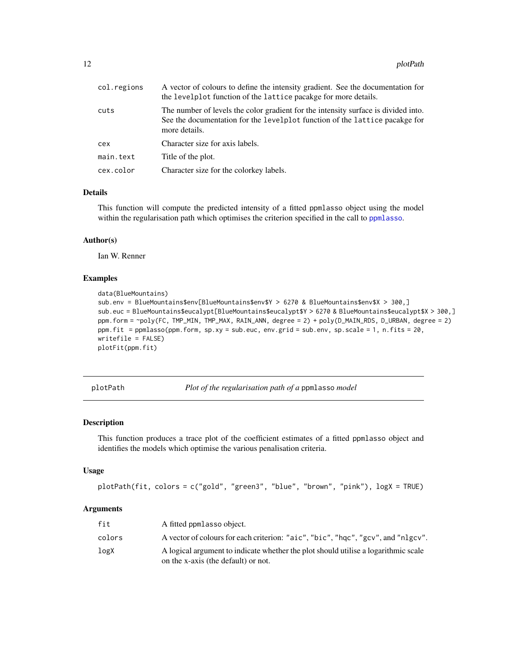<span id="page-11-0"></span>

| col.regions | A vector of colours to define the intensity gradient. See the documentation for<br>the levelplot function of the lattice pacakge for more details.                                 |
|-------------|------------------------------------------------------------------------------------------------------------------------------------------------------------------------------------|
| cuts        | The number of levels the color gradient for the intensity surface is divided into.<br>See the documentation for the levelplot function of the lattice pacakge for<br>more details. |
| cex         | Character size for axis labels.                                                                                                                                                    |
| main.text   | Title of the plot.                                                                                                                                                                 |
| cex.color   | Character size for the colorkey labels.                                                                                                                                            |

#### Details

This function will compute the predicted intensity of a fitted ppmlasso object using the model within the regularisation path which optimises the criterion specified in the call to [ppmlasso](#page-15-1).

## Author(s)

Ian W. Renner

# Examples

```
data(BlueMountains)
sub.env = BlueMountains$env[BlueMountains$env$Y > 6270 & BlueMountains$env$X > 300,]
sub.euc = BlueMountains$eucalypt[BlueMountains$eucalypt$Y > 6270 & BlueMountains$eucalypt$X > 300,]
ppm.form = ~poly(FC, TMP_MIN, TMP_MAX, RAIN_ANN, degree = 2) + poly(D_MAIN_RDS, D_URBAN, degree = 2)
ppm.fit = ppmlasso(ppm.form, sp.xy = sub.euc, env.grid = sub.env, sp.scale = 1, n.fits = 20,
writefile = FALSE)
plotFit(ppm.fit)
```
<span id="page-11-1"></span>plotPath *Plot of the regularisation path of a* ppmlasso *model*

# Description

This function produces a trace plot of the coefficient estimates of a fitted ppmlasso object and identifies the models which optimise the various penalisation criteria.

#### Usage

```
plotPath(fit, colors = c("gold", "green3", "blue", "brown", "pink"), logX = TRUE)
```

| fit    | A fitted ppm asso object.                                                                                                 |
|--------|---------------------------------------------------------------------------------------------------------------------------|
| colors | A vector of colours for each criterion: "aic", "bic", "hgc", "gcv", and "nlgcv".                                          |
| logX   | A logical argument to indicate whether the plot should utilise a logarithmic scale<br>on the x-axis (the default) or not. |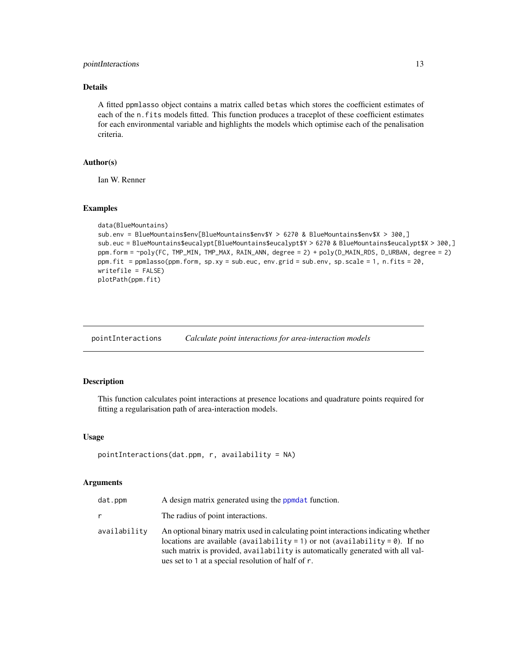# <span id="page-12-0"></span>pointInteractions 13

# Details

A fitted ppmlasso object contains a matrix called betas which stores the coefficient estimates of each of the n.fits models fitted. This function produces a traceplot of these coefficient estimates for each environmental variable and highlights the models which optimise each of the penalisation criteria.

# Author(s)

Ian W. Renner

# Examples

```
data(BlueMountains)
sub.env = BlueMountains$env[BlueMountains$env$Y > 6270 & BlueMountains$env$X > 300,]
sub.euc = BlueMountains$eucalypt[BlueMountains$eucalypt$Y > 6270 & BlueMountains$eucalypt$X > 300,]
ppm.form = ~poly(FC, TMP_MIN, TMP_MAX, RAIN_ANN, degree = 2) + poly(D_MAIN_RDS, D_URBAN, degree = 2)
ppm.fit = ppmlasso(ppm.form, sp.xy = sub.euc, env.grid = sub.env, sp.scale = 1, n.fits = 20,
writefile = FALSE)
plotPath(ppm.fit)
```
<span id="page-12-1"></span>pointInteractions *Calculate point interactions for area-interaction models*

#### Description

This function calculates point interactions at presence locations and quadrature points required for fitting a regularisation path of area-interaction models.

#### Usage

```
pointInteractions(data.ppm, r, availability = NA)
```

| dat.ppm      | A design matrix generated using the ppmdat function.                                                                                                                                                                                                                                                               |
|--------------|--------------------------------------------------------------------------------------------------------------------------------------------------------------------------------------------------------------------------------------------------------------------------------------------------------------------|
|              | The radius of point interactions.                                                                                                                                                                                                                                                                                  |
| availability | An optional binary matrix used in calculating point interactions indicating whether<br>locations are available (availability = 1) or not (availability = $\theta$ ). If no<br>such matrix is provided, availability is automatically generated with all val-<br>ues set to 1 at a special resolution of half of r. |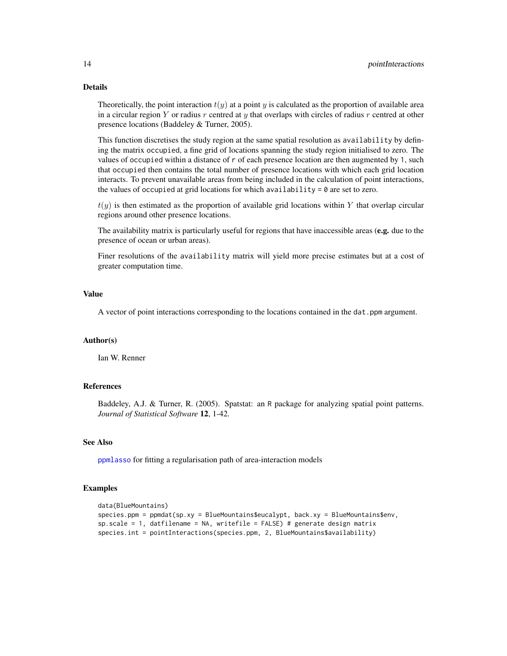# Details

Theoretically, the point interaction  $t(y)$  at a point y is calculated as the proportion of available area in a circular region Y or radius r centred at y that overlaps with circles of radius r centred at other presence locations (Baddeley & Turner, 2005).

This function discretises the study region at the same spatial resolution as availability by defining the matrix occupied, a fine grid of locations spanning the study region initialised to zero. The values of occupied within a distance of r of each presence location are then augmented by 1, such that occupied then contains the total number of presence locations with which each grid location interacts. To prevent unavailable areas from being included in the calculation of point interactions, the values of occupied at grid locations for which availability  $= 0$  are set to zero.

 $t(y)$  is then estimated as the proportion of available grid locations within Y that overlap circular regions around other presence locations.

The availability matrix is particularly useful for regions that have inaccessible areas (e.g. due to the presence of ocean or urban areas).

Finer resolutions of the availability matrix will yield more precise estimates but at a cost of greater computation time.

#### Value

A vector of point interactions corresponding to the locations contained in the dat.ppm argument.

#### Author(s)

Ian W. Renner

# References

Baddeley, A.J. & Turner, R. (2005). Spatstat: an R package for analyzing spatial point patterns. *Journal of Statistical Software* 12, 1-42.

# See Also

[ppmlasso](#page-15-1) for fitting a regularisation path of area-interaction models

# Examples

```
data(BlueMountains)
species.ppm = ppmdat(sp.xy = BlueMountains$eucalypt, back.xy = BlueMountains$env,
sp.scale = 1, datfilename = NA, writefile = FALSE) # generate design matrix
species.int = pointInteractions(species.ppm, 2, BlueMountains$availability)
```
<span id="page-13-0"></span>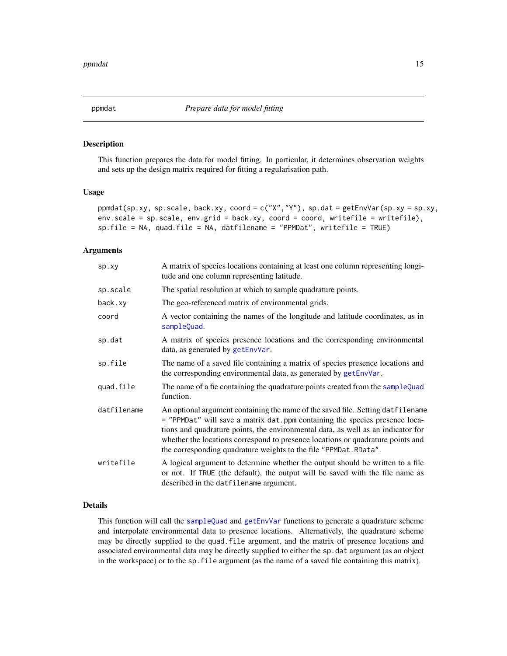<span id="page-14-1"></span><span id="page-14-0"></span>

#### Description

This function prepares the data for model fitting. In particular, it determines observation weights and sets up the design matrix required for fitting a regularisation path.

#### Usage

ppmdat(sp.xy, sp.scale, back.xy, coord = c("X","Y"), sp.dat = getEnvVar(sp.xy = sp.xy, env.scale = sp.scale, env.grid = back.xy, coord = coord, writefile = writefile), sp.file = NA, quad.file = NA, datfilename = "PPMDat", writefile = TRUE)

# Arguments

| sp.xy       | A matrix of species locations containing at least one column representing longi-<br>tude and one column representing latitude.                                                                                                                                                                                                                                                                             |
|-------------|------------------------------------------------------------------------------------------------------------------------------------------------------------------------------------------------------------------------------------------------------------------------------------------------------------------------------------------------------------------------------------------------------------|
| sp.scale    | The spatial resolution at which to sample quadrature points.                                                                                                                                                                                                                                                                                                                                               |
| back.xy     | The geo-referenced matrix of environmental grids.                                                                                                                                                                                                                                                                                                                                                          |
| coord       | A vector containing the names of the longitude and latitude coordinates, as in<br>sampleQuad.                                                                                                                                                                                                                                                                                                              |
| sp.dat      | A matrix of species presence locations and the corresponding environmental<br>data, as generated by getEnvVar.                                                                                                                                                                                                                                                                                             |
| sp.file     | The name of a saved file containing a matrix of species presence locations and<br>the corresponding environmental data, as generated by getEnvVar.                                                                                                                                                                                                                                                         |
| quad.file   | The name of a fie containing the quadrature points created from the sampleQuad<br>function.                                                                                                                                                                                                                                                                                                                |
| datfilename | An optional argument containing the name of the saved file. Setting datfilename<br>= "PPMDat" will save a matrix dat ppm containing the species presence loca-<br>tions and quadrature points, the environmental data, as well as an indicator for<br>whether the locations correspond to presence locations or quadrature points and<br>the corresponding quadrature weights to the file "PPMDat. RData". |
| writefile   | A logical argument to determine whether the output should be written to a file<br>or not. If TRUE (the default), the output will be saved with the file name as<br>described in the datfilename argument.                                                                                                                                                                                                  |

# Details

This function will call the [sampleQuad](#page-23-1) and [getEnvVar](#page-7-1) functions to generate a quadrature scheme and interpolate environmental data to presence locations. Alternatively, the quadrature scheme may be directly supplied to the quad.file argument, and the matrix of presence locations and associated environmental data may be directly supplied to either the sp.dat argument (as an object in the workspace) or to the sp.file argument (as the name of a saved file containing this matrix).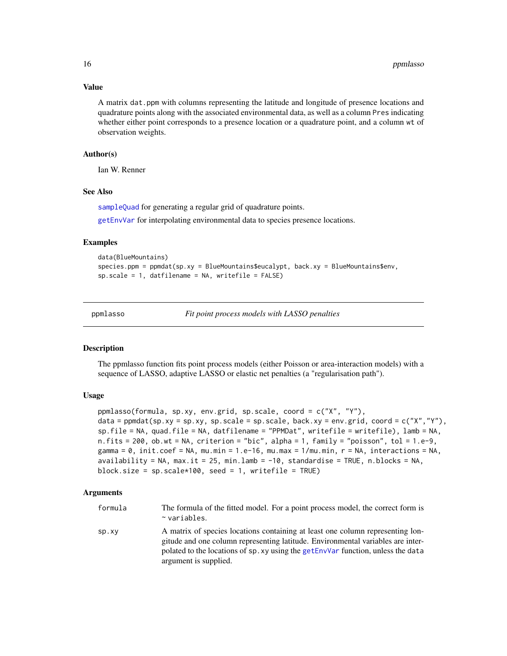#### Value

A matrix dat.ppm with columns representing the latitude and longitude of presence locations and quadrature points along with the associated environmental data, as well as a column Pres indicating whether either point corresponds to a presence location or a quadrature point, and a column wt of observation weights.

# Author(s)

Ian W. Renner

# See Also

[sampleQuad](#page-23-1) for generating a regular grid of quadrature points.

[getEnvVar](#page-7-1) for interpolating environmental data to species presence locations.

# Examples

```
data(BlueMountains)
species.ppm = ppmdat(sp.xy = BlueMountains$eucalypt, back.xy = BlueMountains$env,
sp.scale = 1, datfilename = NA, writefile = FALSE)
```
<span id="page-15-1"></span>

ppmlasso *Fit point process models with LASSO penalties*

#### Description

The ppmlasso function fits point process models (either Poisson or area-interaction models) with a sequence of LASSO, adaptive LASSO or elastic net penalties (a "regularisation path").

#### Usage

```
ppmlasso(formula, sp.xy, env.grid, sp.scale, coord = c("X", "Y"),
data = ppmdat(sp.xy = sp.xy, sp.scale = sp.scale, back.xy = env.grid, coord = c("X", "Y"),
sp.file = NA, quad.file = NA, datfilename = "PPMDat", writefile = writefile), lamb = NA,
n.fits = 200, ob.wt = NA, criterion = "bic", alpha = 1, family = "poisson", tol = 1.e-9,
gamma = 0, init.coef = NA, mu.min = 1.e-16, mu.max = 1/mu.min, r = NA, interactions = NA,
availability = NA, max.it = 25, min.lamb = -10, standardise = TRUE, n.blocks = NA,
block.size = sp.scale*100, seed = 1, writefile = TRUE)
```

| formula | The formula of the fitted model. For a point process model, the correct form is<br>$\sim$ variables.                                                                                                                                                                           |
|---------|--------------------------------------------------------------------------------------------------------------------------------------------------------------------------------------------------------------------------------------------------------------------------------|
| SP.XY   | A matrix of species locations containing at least one column representing lon-<br>gitude and one column representing latitude. Environmental variables are inter-<br>polated to the locations of sp. xy using the getEnvVar function, unless the data<br>argument is supplied. |

<span id="page-15-0"></span>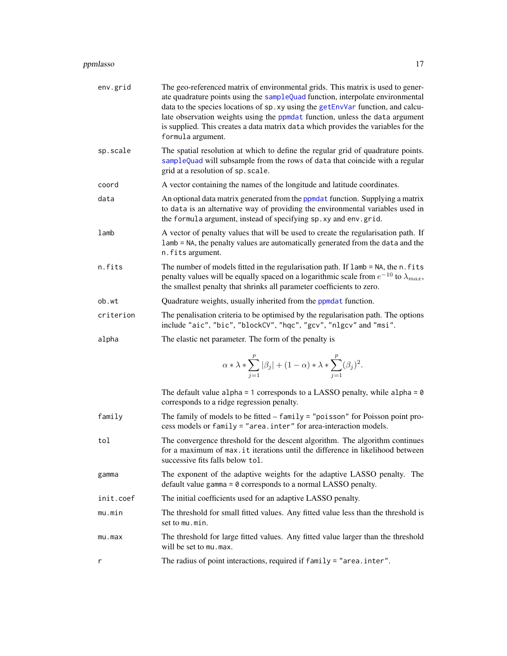#### <span id="page-16-0"></span>ppmlasso and the contract of the contract of the contract of the contract of the contract of the contract of the contract of the contract of the contract of the contract of the contract of the contract of the contract of t

| env.grid  | The geo-referenced matrix of environmental grids. This matrix is used to gener-<br>ate quadrature points using the sampleQuad function, interpolate environmental<br>data to the species locations of sp. xy using the getEnvVar function, and calcu-<br>late observation weights using the ppmdat function, unless the data argument<br>is supplied. This creates a data matrix data which provides the variables for the<br>formula argument. |
|-----------|-------------------------------------------------------------------------------------------------------------------------------------------------------------------------------------------------------------------------------------------------------------------------------------------------------------------------------------------------------------------------------------------------------------------------------------------------|
| sp.scale  | The spatial resolution at which to define the regular grid of quadrature points.<br>sampleQuad will subsample from the rows of data that coincide with a regular<br>grid at a resolution of sp. scale.                                                                                                                                                                                                                                          |
| coord     | A vector containing the names of the longitude and latitude coordinates.                                                                                                                                                                                                                                                                                                                                                                        |
| data      | An optional data matrix generated from the ppmdat function. Supplying a matrix<br>to data is an alternative way of providing the environmental variables used in<br>the formula argument, instead of specifying sp. xy and env. grid.                                                                                                                                                                                                           |
| lamb      | A vector of penalty values that will be used to create the regularisation path. If<br>lamb = NA, the penalty values are automatically generated from the data and the<br>n.fits argument.                                                                                                                                                                                                                                                       |
| n.fits    | The number of models fitted in the regularisation path. If lamb = NA, the n. fits<br>penalty values will be equally spaced on a logarithmic scale from $e^{-10}$ to $\lambda_{max}$ ,<br>the smallest penalty that shrinks all parameter coefficients to zero.                                                                                                                                                                                  |
| ob.wt     | Quadrature weights, usually inherited from the ppmdat function.                                                                                                                                                                                                                                                                                                                                                                                 |
| criterion | The penalisation criteria to be optimised by the regularisation path. The options<br>include "aic", "bic", "blockCV", "hqc", "gcv", "nlgcv" and "msi".                                                                                                                                                                                                                                                                                          |
| alpha     | The elastic net parameter. The form of the penalty is                                                                                                                                                                                                                                                                                                                                                                                           |
|           | $\alpha * \lambda * \sum_{i=1}^p  \beta_j  + (1-\alpha) * \lambda * \sum_{i=1}^p (\beta_i)^2.$                                                                                                                                                                                                                                                                                                                                                  |
|           | The default value alpha = 1 corresponds to a LASSO penalty, while alpha = $\theta$<br>corresponds to a ridge regression penalty.                                                                                                                                                                                                                                                                                                                |
| family    | The family of models to be fitted $-$ family = "poisson" for Poisson point pro-<br>cess models or family = "area.inter" for area-interaction models.                                                                                                                                                                                                                                                                                            |
| tol       | The convergence threshold for the descent algorithm. The algorithm continues<br>for a maximum of max. it iterations until the difference in likelihood between<br>successive fits falls below tol.                                                                                                                                                                                                                                              |
| gamma     | The exponent of the adaptive weights for the adaptive LASSO penalty. The<br>default value gamma $= 0$ corresponds to a normal LASSO penalty.                                                                                                                                                                                                                                                                                                    |
| init.coef | The initial coefficients used for an adaptive LASSO penalty.                                                                                                                                                                                                                                                                                                                                                                                    |
| mu.min    | The threshold for small fitted values. Any fitted value less than the threshold is<br>set to mu.min.                                                                                                                                                                                                                                                                                                                                            |
| mu.max    | The threshold for large fitted values. Any fitted value larger than the threshold<br>will be set to mu, max.                                                                                                                                                                                                                                                                                                                                    |
| r         | The radius of point interactions, required if family = "area. inter".                                                                                                                                                                                                                                                                                                                                                                           |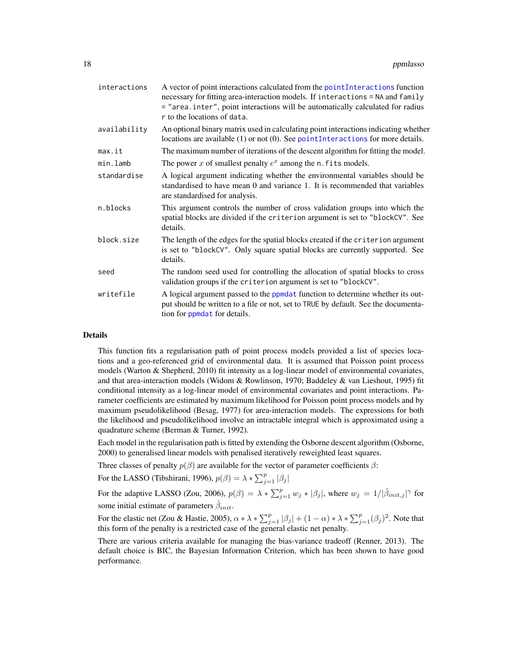<span id="page-17-0"></span>

| interactions | A vector of point interactions calculated from the point Interactions function<br>necessary for fitting area-interaction models. If interactions = NA and family<br>= "area.inter", point interactions will be automatically calculated for radius<br>r to the locations of data. |
|--------------|-----------------------------------------------------------------------------------------------------------------------------------------------------------------------------------------------------------------------------------------------------------------------------------|
| availability | An optional binary matrix used in calculating point interactions indicating whether<br>locations are available $(1)$ or not $(0)$ . See point Interactions for more details.                                                                                                      |
| max.it       | The maximum number of iterations of the descent algorithm for fitting the model.                                                                                                                                                                                                  |
| min.lamb     | The power x of smallest penalty $e^x$ among the n. fits models.                                                                                                                                                                                                                   |
| standardise  | A logical argument indicating whether the environmental variables should be<br>standardised to have mean 0 and variance 1. It is recommended that variables<br>are standardised for analysis.                                                                                     |
| n.blocks     | This argument controls the number of cross validation groups into which the<br>spatial blocks are divided if the criterion argument is set to "blockCV". See<br>details.                                                                                                          |
| block.size   | The length of the edges for the spatial blocks created if the criterion argument<br>is set to "blockCV". Only square spatial blocks are currently supported. See<br>details.                                                                                                      |
| seed         | The random seed used for controlling the allocation of spatial blocks to cross<br>validation groups if the criterion argument is set to "blockCV".                                                                                                                                |
| writefile    | A logical argument passed to the ppmdat function to determine whether its out-<br>put should be written to a file or not, set to TRUE by default. See the documenta-<br>tion for <b>ppmdat</b> for details.                                                                       |

# Details

This function fits a regularisation path of point process models provided a list of species locations and a geo-referenced grid of environmental data. It is assumed that Poisson point process models (Warton & Shepherd, 2010) fit intensity as a log-linear model of environmental covariates, and that area-interaction models (Widom & Rowlinson, 1970; Baddeley & van Lieshout, 1995) fit conditional intensity as a log-linear model of environmental covariates and point interactions. Parameter coefficients are estimated by maximum likelihood for Poisson point process models and by maximum pseudolikelihood (Besag, 1977) for area-interaction models. The expressions for both the likelihood and pseudolikelihood involve an intractable integral which is approximated using a quadrature scheme (Berman & Turner, 1992).

Each model in the regularisation path is fitted by extending the Osborne descent algorithm (Osborne, 2000) to generalised linear models with penalised iteratively reweighted least squares.

Three classes of penalty  $p(\beta)$  are available for the vector of parameter coefficients  $\beta$ :

For the LASSO (Tibshirani, 1996), 
$$
p(\beta) = \lambda * \sum_{j=1}^{p} |\beta_j|
$$

For the adaptive LASSO (Zou, 2006),  $p(\beta) = \lambda * \sum_{j=1}^{p} w_j * |\beta_j|$ , where  $w_j = 1/|\hat{\beta}_{init,j}|^{\gamma}$  for some initial estimate of parameters  $\hat{\beta}_{init}$ .

For the elastic net (Zou & Hastie, 2005),  $\alpha * \lambda * \sum_{j=1}^{p} |\beta_j| + (1 - \alpha) * \lambda * \sum_{j=1}^{p} (\beta_j)^2$ . Note that this form of the penalty is a restricted case of the general elastic net penalty.

There are various criteria available for managing the bias-variance tradeoff (Renner, 2013). The default choice is BIC, the Bayesian Information Criterion, which has been shown to have good performance.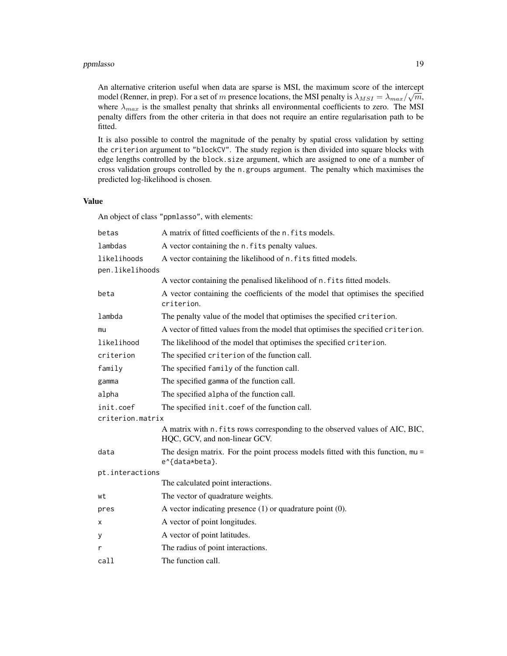#### ppmlasso and the contract of the contract of the contract of the contract of the contract of the contract of the contract of the contract of the contract of the contract of the contract of the contract of the contract of t

An alternative criterion useful when data are sparse is MSI, the maximum score of the intercept model (Renner, in prep). For a set of m presence locations, the MSI penalty is  $\lambda_{MSI} = \lambda_{max}/\sqrt{m}$ , where  $\lambda_{max}$  is the smallest penalty that shrinks all environmental coefficients to zero. The MSI penalty differs from the other criteria in that does not require an entire regularisation path to be fitted.

It is also possible to control the magnitude of the penalty by spatial cross validation by setting the criterion argument to "blockCV". The study region is then divided into square blocks with edge lengths controlled by the block.size argument, which are assigned to one of a number of cross validation groups controlled by the n.groups argument. The penalty which maximises the predicted log-likelihood is chosen.

# Value

An object of class "ppmlasso", with elements:

| betas            | A matrix of fitted coefficients of the n.fits models.                                                         |
|------------------|---------------------------------------------------------------------------------------------------------------|
| lambdas          | A vector containing the n. fits penalty values.                                                               |
| likelihoods      | A vector containing the likelihood of n. fits fitted models.                                                  |
| pen.likelihoods  |                                                                                                               |
|                  | A vector containing the penalised likelihood of n. fits fitted models.                                        |
| beta             | A vector containing the coefficients of the model that optimises the specified<br>criterion.                  |
| lambda           | The penalty value of the model that optimises the specified criterion.                                        |
| mu               | A vector of fitted values from the model that optimises the specified criterion.                              |
| likelihood       | The likelihood of the model that optimises the specified criterion.                                           |
| criterion        | The specified criterion of the function call.                                                                 |
| family           | The specified family of the function call.                                                                    |
| gamma            | The specified gamma of the function call.                                                                     |
| alpha            | The specified alpha of the function call.                                                                     |
| init.coef        | The specified init.coef of the function call.                                                                 |
| criterion.matrix |                                                                                                               |
|                  | A matrix with n. fits rows corresponding to the observed values of AIC, BIC,<br>HQC, GCV, and non-linear GCV. |
| data             | The design matrix. For the point process models fitted with this function, $mu =$<br>e^{data*beta}.           |
| pt.interactions  |                                                                                                               |
|                  | The calculated point interactions.                                                                            |
| wt               | The vector of quadrature weights.                                                                             |
| pres             | A vector indicating presence $(1)$ or quadrature point $(0)$ .                                                |
| х                | A vector of point longitudes.                                                                                 |
| У                | A vector of point latitudes.                                                                                  |
| r                | The radius of point interactions.                                                                             |
| call             | The function call.                                                                                            |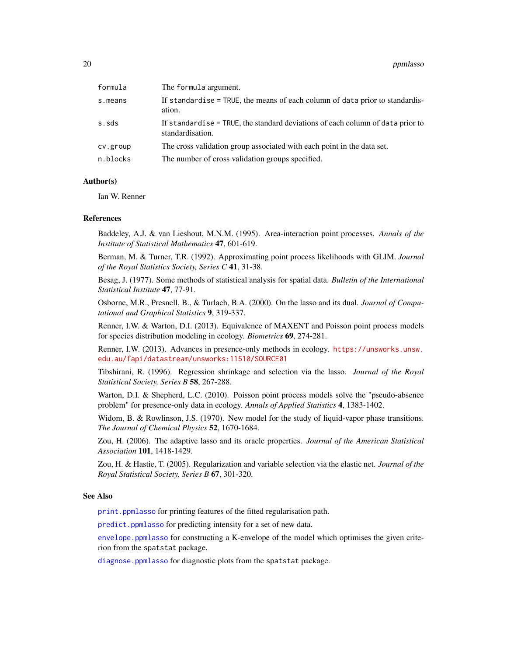<span id="page-19-0"></span>

| formula  | The formula argument.                                                                              |
|----------|----------------------------------------------------------------------------------------------------|
| s.means  | If standardise = TRUE, the means of each column of data prior to standardis-<br>ation.             |
| s.sds    | If standardise = TRUE, the standard deviations of each column of data prior to<br>standardisation. |
| cv.group | The cross validation group associated with each point in the data set.                             |
| n.blocks | The number of cross validation groups specified.                                                   |
|          |                                                                                                    |

# Author(s)

Ian W. Renner

#### References

Baddeley, A.J. & van Lieshout, M.N.M. (1995). Area-interaction point processes. *Annals of the Institute of Statistical Mathematics* 47, 601-619.

Berman, M. & Turner, T.R. (1992). Approximating point process likelihoods with GLIM. *Journal of the Royal Statistics Society, Series C* 41, 31-38.

Besag, J. (1977). Some methods of statistical analysis for spatial data. *Bulletin of the International Statistical Institute* 47, 77-91.

Osborne, M.R., Presnell, B., & Turlach, B.A. (2000). On the lasso and its dual. *Journal of Computational and Graphical Statistics* 9, 319-337.

Renner, I.W. & Warton, D.I. (2013). Equivalence of MAXENT and Poisson point process models for species distribution modeling in ecology. *Biometrics* 69, 274-281.

Renner, I.W. (2013). Advances in presence-only methods in ecology. [https://unsworks.unsw.](https://unsworks.unsw.edu.au/fapi/datastream/unsworks:11510/SOURCE01) [edu.au/fapi/datastream/unsworks:11510/SOURCE01](https://unsworks.unsw.edu.au/fapi/datastream/unsworks:11510/SOURCE01)

Tibshirani, R. (1996). Regression shrinkage and selection via the lasso. *Journal of the Royal Statistical Society, Series B* 58, 267-288.

Warton, D.I. & Shepherd, L.C. (2010). Poisson point process models solve the "pseudo-absence problem" for presence-only data in ecology. *Annals of Applied Statistics* 4, 1383-1402.

Widom, B. & Rowlinson, J.S. (1970). New model for the study of liquid-vapor phase transitions. *The Journal of Chemical Physics* 52, 1670-1684.

Zou, H. (2006). The adaptive lasso and its oracle properties. *Journal of the American Statistical Association* 101, 1418-1429.

Zou, H. & Hastie, T. (2005). Regularization and variable selection via the elastic net. *Journal of the Royal Statistical Society, Series B* 67, 301-320.

#### See Also

[print.ppmlasso](#page-22-1) for printing features of the fitted regularisation path.

[predict.ppmlasso](#page-21-1) for predicting intensity for a set of new data.

[envelope.ppmlasso](#page-5-1) for constructing a K-envelope of the model which optimises the given criterion from the spatstat package.

[diagnose.ppmlasso](#page-4-1) for diagnostic plots from the spatstat package.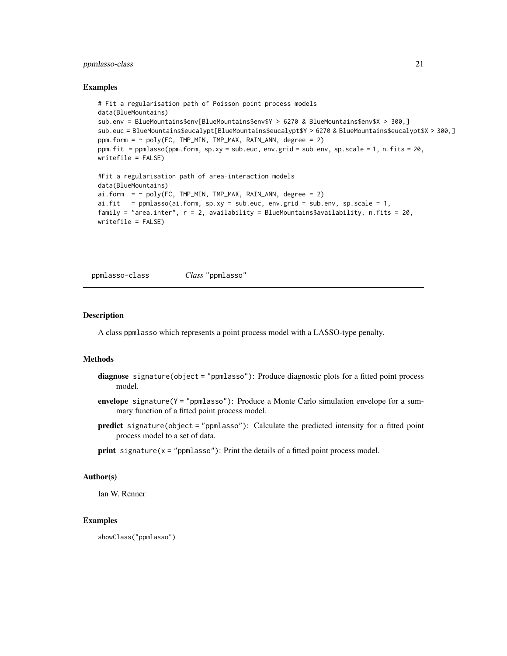# <span id="page-20-0"></span>ppmlasso-class 21

#### Examples

```
# Fit a regularisation path of Poisson point process models
data(BlueMountains)
sub.env = BlueMountains$env[BlueMountains$env$Y > 6270 & BlueMountains$env$X > 300,]
sub.euc = BlueMountains$eucalypt[BlueMountains$eucalypt$Y > 6270 & BlueMountains$eucalypt$X > 300,]
ppm.form = ~ poly(FC, TMP_MIN, TMP_MAX, RAIN_ANN, degree = 2)ppm.fit = ppmlasso(ppm.form, sp.xy = sub.euc, env.grid = sub.env, sp.scale = 1, n.fits = 20,
writefile = FALSE)
#Fit a regularisation path of area-interaction models
data(BlueMountains)
ai.form = ~ poly(FC, TMP_MIN, TMP_MAX, RAIN_ANN, degree = 2)ai.fit = ppmlasso(ai.form, sp.xy = sub.euc, env.grid = sub.env, sp.scale = 1,
family = "area.inter", r = 2, availability = BlueMountains$availability, n.fits = 20,
writefile = FALSE)
```
ppmlasso-class *Class* "ppmlasso"

# Description

A class ppmlasso which represents a point process model with a LASSO-type penalty.

#### Methods

- diagnose signature(object = "ppmlasso"): Produce diagnostic plots for a fitted point process model.
- envelope signature(Y = "ppmlasso"): Produce a Monte Carlo simulation envelope for a summary function of a fitted point process model.
- predict signature(object = "ppmlasso"): Calculate the predicted intensity for a fitted point process model to a set of data.
- $print$  signature( $x = "ppmlasso"$ ): Print the details of a fitted point process model.

# Author(s)

Ian W. Renner

#### Examples

showClass("ppmlasso")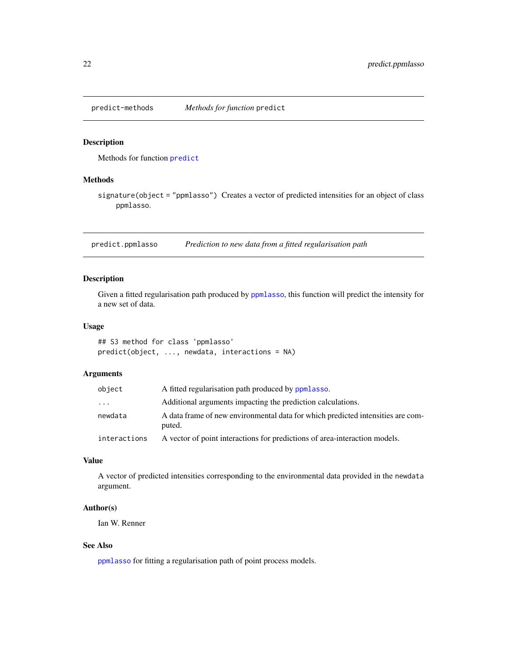<span id="page-21-0"></span>

# Description

Methods for function [predict](#page-0-0)

# Methods

signature(object = "ppmlasso") Creates a vector of predicted intensities for an object of class ppmlasso.

<span id="page-21-1"></span>predict.ppmlasso *Prediction to new data from a fitted regularisation path*

# Description

Given a fitted regularisation path produced by [ppmlasso](#page-15-1), this function will predict the intensity for a new set of data.

#### Usage

## S3 method for class 'ppmlasso' predict(object, ..., newdata, interactions = NA)

# Arguments

| object       | A fitted regularisation path produced by ppmlasso.                                        |
|--------------|-------------------------------------------------------------------------------------------|
| .            | Additional arguments impacting the prediction calculations.                               |
| newdata      | A data frame of new environmental data for which predicted intensities are com-<br>puted. |
| interactions | A vector of point interactions for predictions of area-interaction models.                |

# Value

A vector of predicted intensities corresponding to the environmental data provided in the newdata argument.

# Author(s)

Ian W. Renner

# See Also

[ppmlasso](#page-15-1) for fitting a regularisation path of point process models.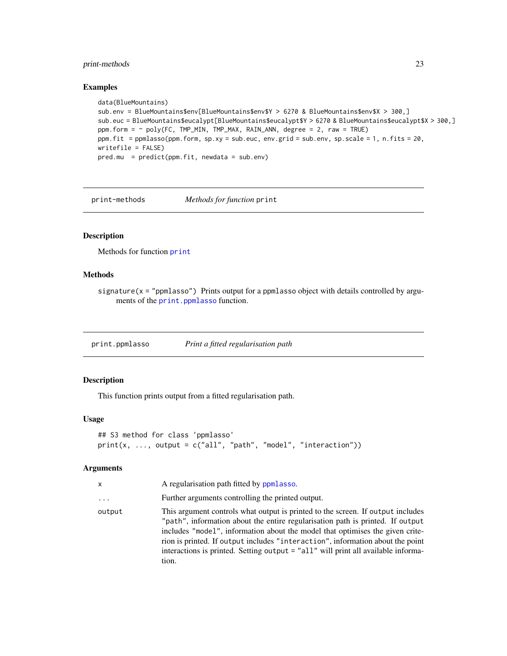# <span id="page-22-0"></span>print-methods 23

#### Examples

```
data(BlueMountains)
sub.env = BlueMountains$env[BlueMountains$env$Y > 6270 & BlueMountains$env$X > 300,]
sub.euc = BlueMountains$eucalypt[BlueMountains$eucalypt$Y > 6270 & BlueMountains$eucalypt$X > 300,]
ppm.form = ~ poly(FC, TMP_MIN, TMP_MAX, RAIN_ANN, degree = 2, raw = TRUE)ppm.fit = ppmlasso(ppm.form, sp.xy = sub.euc, env.grid = sub.env, sp.scale = 1, n.fits = 20,
writefile = FALSE)
pred.mu = predict(ppm.fit, newdata = sub.env)
```
print-methods *Methods for function* print

#### Description

Methods for function [print](#page-0-0)

#### Methods

signature( $x = "ppmlasso"$ ) Prints output for a ppmlasso object with details controlled by arguments of the [print.ppmlasso](#page-22-1) function.

<span id="page-22-1"></span>print.ppmlasso *Print a fitted regularisation path*

# Description

This function prints output from a fitted regularisation path.

# Usage

```
## S3 method for class 'ppmlasso'
print(x, ..., output = c("all", "path", "model", "interaction"))
```

| x        | A regularisation path fitted by ppmlasso.                                                                                                                                                                                                                                                                                                                                                                                          |
|----------|------------------------------------------------------------------------------------------------------------------------------------------------------------------------------------------------------------------------------------------------------------------------------------------------------------------------------------------------------------------------------------------------------------------------------------|
| $\cdots$ | Further arguments controlling the printed output.                                                                                                                                                                                                                                                                                                                                                                                  |
| output   | This argument controls what output is printed to the screen. If output includes<br>"path", information about the entire regularisation path is printed. If output<br>includes "model", information about the model that optimises the given crite-<br>rion is printed. If output includes "interaction", information about the point<br>interactions is printed. Setting output = "all" will print all available informa-<br>tion. |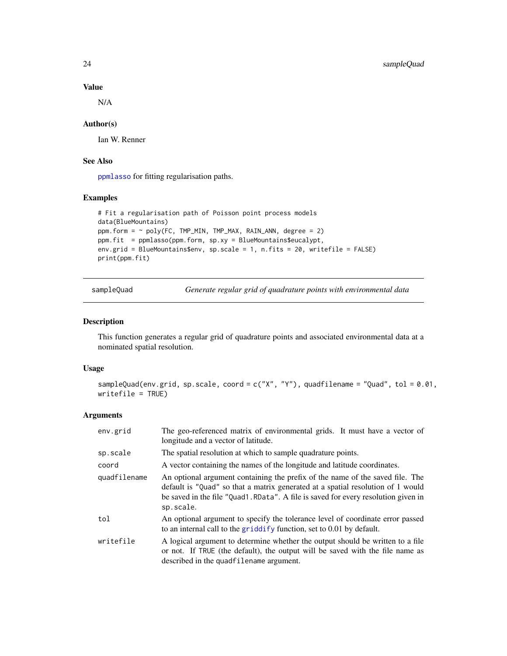# Value

N/A

# Author(s)

Ian W. Renner

# See Also

[ppmlasso](#page-15-1) for fitting regularisation paths.

# Examples

```
# Fit a regularisation path of Poisson point process models
data(BlueMountains)
ppm.form = ~ poly(FC, TMP_MIN, TMP_MAX, RAIN_ANN, degree = 2)ppm.fit = ppmlasso(ppm.form, sp.xy = BlueMountains$eucalypt,
env.grid = BlueMountains$env, sp.scale = 1, n.fits = 20, writefile = FALSE)
print(ppm.fit)
```
sampleQuad *Generate regular grid of quadrature points with environmental data*

#### Description

This function generates a regular grid of quadrature points and associated environmental data at a nominated spatial resolution.

# Usage

```
sampleQuad(env.grid, sp.scale, coord = c("X", "Y"), quadfilename = "Quad", tol = 0.01,
writefile = TRUE)
```

| env.grid     | The geo-referenced matrix of environmental grids. It must have a vector of<br>longitude and a vector of latitude.                                                                                                                                                   |
|--------------|---------------------------------------------------------------------------------------------------------------------------------------------------------------------------------------------------------------------------------------------------------------------|
| sp.scale     | The spatial resolution at which to sample quadrature points.                                                                                                                                                                                                        |
| coord        | A vector containing the names of the longitude and latitude coordinates.                                                                                                                                                                                            |
| quadfilename | An optional argument containing the prefix of the name of the saved file. The<br>default is "Quad" so that a matrix generated at a spatial resolution of 1 would<br>be saved in the file "Quad1. RData". A file is saved for every resolution given in<br>sp.scale. |
| tol          | An optional argument to specify the tolerance level of coordinate error passed<br>to an internal call to the griddify function, set to 0.01 by default.                                                                                                             |
| writefile    | A logical argument to determine whether the output should be written to a file<br>or not. If TRUE (the default), the output will be saved with the file name as<br>described in the quadfilename argument.                                                          |

<span id="page-23-0"></span>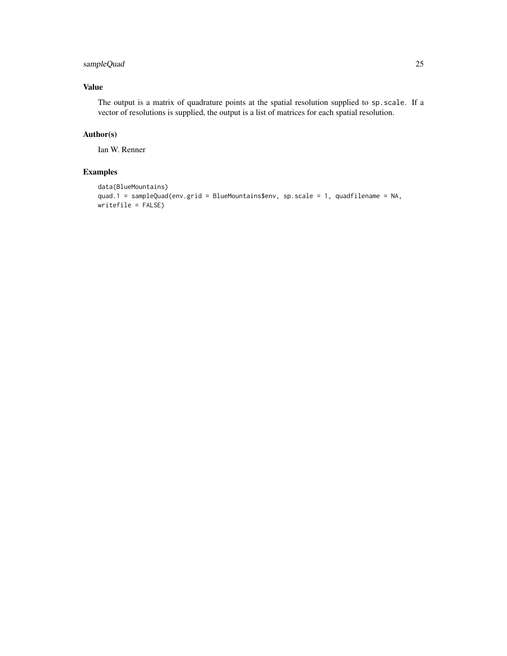# sampleQuad 25

# Value

The output is a matrix of quadrature points at the spatial resolution supplied to sp.scale. If a vector of resolutions is supplied, the output is a list of matrices for each spatial resolution.

# Author(s)

Ian W. Renner

# Examples

```
data(BlueMountains)
quad.1 = sampleQuad(env.grid = BlueMountains$env, sp.scale = 1, quadfilename = NA,
writefile = FALSE)
```